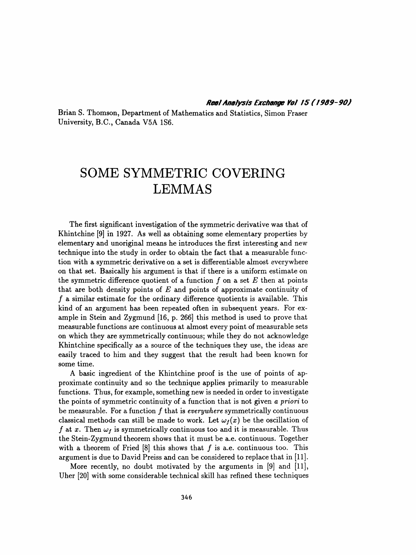Brian S. Thomson, Department of Mathematics and Statistics, Simon Fraser University, B.C., Canada V5A 1S6.

# SOME SYMMETRIC COVERING LEMMAS

 The first significant investigation of the symmetric derivative was that of Khintchine [9] in 1927. As well as obtaining some elementary properties by elementary and unoriginal means he introduces the first interesting and new technique into the study in order to obtain the fact that a measurable func tion with a symmetric derivative on a set is differentiable almost everywhere on that set. Basically his argument is that if there is a uniform estimate on the symmetric difference quotient of a function  $f$  on a set  $E$  then at points that are both density points of  $E$  and points of approximate continuity of  $f$  a similar estimate for the ordinary difference quotients is available. This kind of an argument has been repeated often in subsequent years. For ex ample in Stein and Zygmund [16, p. 266] this method is used to prove that measurable functions are continuous at almost every point of measurable sets on which they are symmetrically continuous; while they do not acknowledge Khintchine specifically as a source of the techniques they use, the ideas are easily traced to him and they suggest that the result had been known for some time.

 A basic ingredient of the Khintchine proof is the use of points of ap proximate continuity and so the technique applies primarily to measurable functions. Thus, for example, something new is needed in order to investigate the points of symmetric continuity of a function that is not given a priori to be measurable. For a function  $f$  that is everywhere symmetrically continuous classical methods can still be made to work. Let  $\omega_f(x)$  be the oscillation of f at x. Then  $\omega_f$  is symmetrically continuous too and it is measurable. Thus the Stein- Zygmund theorem shows that it must be a.e. continuous. Together with a theorem of Fried  $[8]$  this shows that f is a.e. continuous too. This argument is due to David Preiss and can be considered to replace that in [11].

 More recently, no doubt motivated by the arguments in [9] and [11], Uher [20] with some considerable technical skill has refined these techniques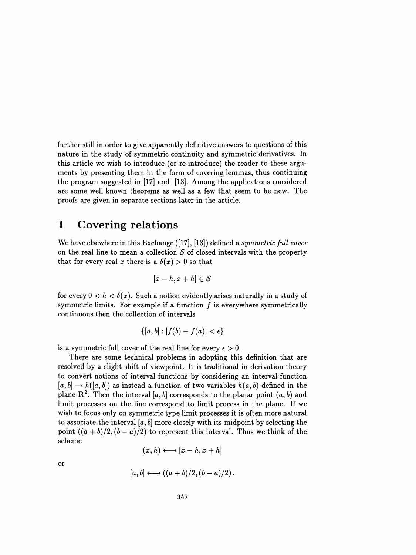further still in order to give apparently definitive answers to questions of this nature in the study of symmetric continuity and symmetric derivatives. In this article we wish to introduce (or re-introduce) the reader to these argu ments by presenting them in the form of covering lemmas, thus continuing the program suggested in [17] and [13]. Among the applications considered are some well known theorems as well as a few that seem to be new. The proofs are given in separate sections later in the article.

# 1 Covering relations

We have elsewhere in this Exchange ([17], [13]) defined a *symmetric full cover* on the real line to mean a collection  $S$  of closed intervals with the property that for every real x there is a  $\delta(x) > 0$  so that

$$
[x-h,x+h]\in\mathcal{S}
$$

for every  $0 < h < \delta(x)$ . Such a notion evidently arises naturally in a study of symmetric limits. For example if a function  $f$  is everywhere symmetrically continuous then the collection of intervals

$$
\{[a,b]:|f(b)-f(a)|<\epsilon\}
$$

is a symmetric full cover of the real line for every  $\epsilon > 0$ .

 There are some technical problems in adopting this definition that are resolved by a slight shift of viewpoint. It is traditional in derivation theory to convert notions of interval functions by considering an interval function  $[a, b] \rightarrow h([a, b])$  as instead a function of two variables  $h(a, b)$  defined in the plane  $\mathbb{R}^2$ . Then the interval [a, b] corresponds to the planar point  $(a, b)$  and limit processes on the line correspond to limit process in the plane. If we wish to focus only on symmetric type limit processes it is often more natural to associate the interval  $[a, b]$  more closely with its midpoint by selecting the point  $((a + b)/2, (b - a)/2)$  to represent this interval. Thus we think of the scheme

$$
(x,h)\longleftrightarrow [x-h,x+h]
$$

OT

$$
[a,b]\longleftrightarrow ((a+b)/2,(b-a)/2).
$$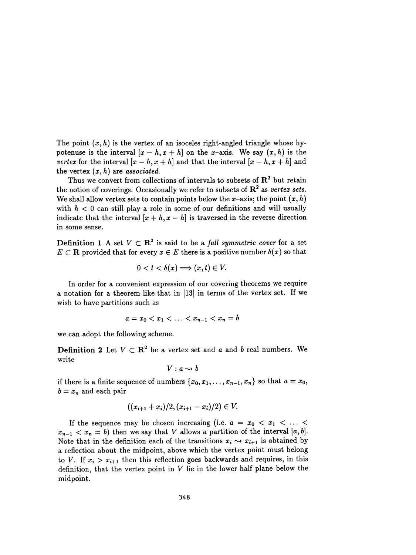The point  $(x, h)$  is the vertex of an isoceles right-angled triangle whose hypotenuse is the interval  $[x - h, x + h]$  on the x-axis. We say  $(x, h)$  is the vertex for the interval  $[x - h, x + h]$  and that the interval  $[x - h, x + h]$  and the vertex  $(x, h)$  are associated.

Thus we convert from collections of intervals to subsets of  $\mathbb{R}^2$  but retain the notion of coverings. Occasionally we refer to subsets of  $\mathbb{R}^2$  as vertex sets. We shall allow vertex sets to contain points below the x-axis; the point  $(x, h)$ with  $h < 0$  can still play a role in some of our definitions and will usually indicate that the interval  $[x + h, x - h]$  is traversed in the reverse direction in some sense.

**Definition 1** A set  $V \subset \mathbb{R}^2$  is said to be a full symmetric cover for a set  $E\subset\mathbf{R}$  provided that for every  $x\in E$  there is a positive number  $\delta(x)$  so that

$$
0 < t < \delta(x) \Longrightarrow (x,t) \in V.
$$

 In order for a convenient expression of our covering theorems we require a notation for a theorem like that in [13] in terms of the vertex set. If we wish to have partitions such as

$$
a = x_0 < x_1 < \ldots < x_{n-1} < x_n = b
$$

we can adopt the following scheme.

**Definition 2** Let  $V \subset \mathbb{R}^2$  be a vertex set and a and b real numbers. We write

$$
V:a\rightsquigarrow b
$$

if there is a finite sequence of numbers  $\{x_0, x_1, \ldots, x_{n-1}, x_n\}$  so that  $a = x_0$ ,  $b = x_n$  and each pair

$$
((x_{i+1}+x_i)/2,(x_{i+1}-x_i)/2) \in V.
$$

If the sequence may be chosen increasing (i.e.  $a = x_0 < x_1 < \ldots <$  $x_{n-1} < x_n = b$ ) then we say that V allows a partition of the interval [a, b]. Note that in the definition each of the transitions  $x_i \rightarrow x_{i+1}$  is obtained by a reflection about the midpoint, above which the vertex point must belong to V. If  $x_i > x_{i+1}$  then this reflection goes backwards and requires, in this definition, that the vertex point in  $V$  lie in the lower half plane below the midpoint.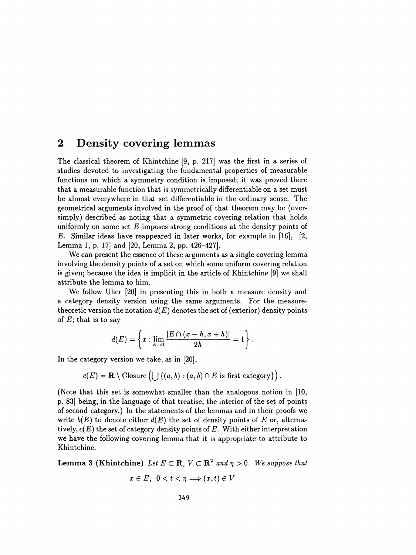# 2 Density covering lemmas

 The classical theorem of Khintchine [9, p. 217] was the first in a series of studies devoted to investigating the fundamental properties of measurable functions on which a symmetry condition is imposed; it was proved there that a measurable function that is symmetrically differentiable on a set must be almost everywhere in that set differentiable in the ordinary sense. The geometrical arguments involved in the proof of that theorem may be (over simply) described as noting that a symmetric covering relation that holds uniformly on some set  $E$  imposes strong conditions at the density points of E. Similar ideas have reappeared in later works, for example in [16], [2, Lemma 1, p. 17] and [20, Lemma 2, pp. 426-427].

 We can present the essence of these arguments as a single covering lemma involving the density points of a set on which some uniform covering relation is given; because the idea is implicit in the article of Khintchine [9] we shall attribute the lemma to him.

 We follow Uher [20] in presenting this in both a measure density and a category density version using the same arguments. For the measure theoretic version the notation  $d(E)$  denotes the set of (exterior) density points of  $E$ ; that is to say

$$
d(E) = \left\{ x : \lim_{h \to 0} \frac{|E \cap (x-h, x+h)|}{2h} = 1 \right\}.
$$

In the category version we take, as in [20],

$$
c(E) = \mathbf{R} \setminus \text{Closure}\left(\bigcup \left\{(a,b) : (a,b) \cap E \text{ is first category}\right\}\right).
$$

 (Note that this set is somewhat smaller than the analogous notion in [10, p. 83] being, in the language of that treatise, the interior of the set of points of second category.) In the statements of the lemmas and in their proofs we write  $b(E)$  to denote either  $d(E)$  the set of density points of E or, alternatively,  $c(E)$  the set of category density points of E. With either interpretation we have the following covering lemma that it is appropriate to attribute to Khintchine.

**Lemma 3 (Khintchine)** Let  $E \subset \mathbb{R}$ ,  $V \subset \mathbb{R}^2$  and  $\eta > 0$ . We suppose that

$$
x\in E,\ \ 0
$$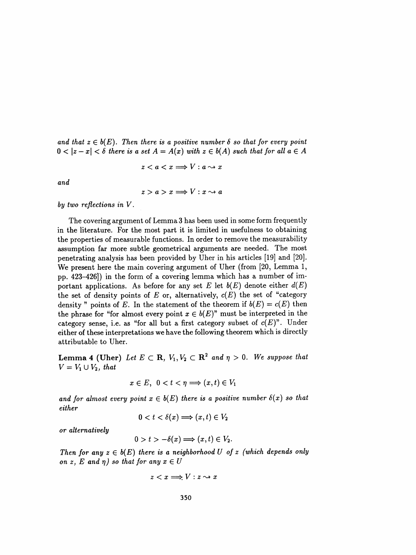and that  $z \in b(E)$ . Then there is a positive number  $\delta$  so that for every point  $0 < |z - x| < \delta$  there is a set  $A = A(x)$  with  $z \in b(A)$  such that for all  $a \in A$ 

$$
z < a < x \Longrightarrow V : a \rightsquigarrow x
$$

and

$$
z > a > x \Longrightarrow V : x \rightsquigarrow a
$$

by two reflections in V.

 The covering argument of Lemma 3 has been used in some form frequently in the literature. For the most part it is limited in usefulness to obtaining the properties of measurable functions. In order to remove the measurability assumption far more subtle geometrical arguments are needed. The most penetrating analysis has been provided by Uher in his articles [19] and [20]. We present here the main covering argument of Uher (from [20, Lemma 1, pp. 423-426]) in the form of a covering lemma which has a number of im portant applications. As before for any set E let  $b(E)$  denote either  $d(E)$ the set of density points of  $E$  or, alternatively,  $c(E)$  the set of "category density " points of E. In the statement of the theorem if  $b(E) = c(E)$  then the phrase for "for almost every point  $x \in b(E)$ " must be interpreted in the category sense, i.e. as "for all but a first category subset of  $c(E)$ ". Under either of these interpretations we have the following theorem which is directly attributable to Uher.

Lemma 4 (Uher) Let  $E \subset \mathbf{R}$ ,  $V_1, V_2 \subset \mathbf{R}^2$  and  $\eta > 0$ . We suppose that  $V = V_1 \cup V_2$ , that

$$
x\in E,\ \ 0
$$

and for almost every point  $x \in b(E)$  there is a positive number  $\delta(x)$  so that either

$$
0
$$

or alternatively

$$
0 > t > -\delta(x) \Longrightarrow (x, t) \in V_2.
$$

Then for any  $z \in b(E)$  there is a neighborhood U of z (which depends only on z, E and  $\eta$ ) so that for any  $x \in U$ 

$$
z < x \Longrightarrow V : z \leadsto x
$$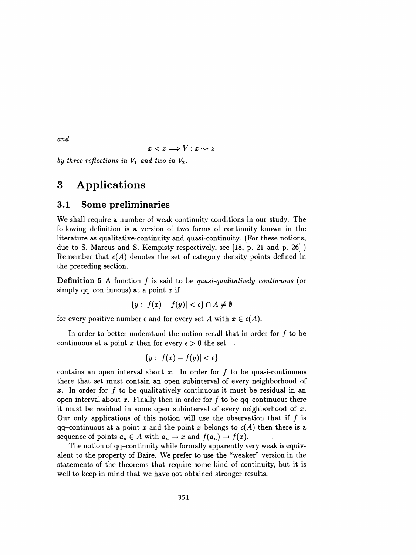and

$$
x < z \Longrightarrow V : x \leadsto z
$$

by three reflections in  $V_1$  and two in  $V_2$ .

# 3 Applications

### 3.1 Some preliminaries

 We shall require a number of weak continuity conditions in our study. The following definition is a version of two forms of continuity known in the literature as qualitative-continuity and quasi- continuity. (For these notions, due to S. Marcus and S. Kempisty respectively, see [18, p. 21 and p. 26].) Remember that  $c(A)$  denotes the set of category density points defined in the preceding section.

**Definition 5** A function  $f$  is said to be quasi-qualitatively continuous (or simply qq-continuous) at a point x if

$$
\{y:|f(x)-f(y)|<\epsilon\}\cap A\neq\emptyset
$$

for every positive number  $\epsilon$  and for every set A with  $x \in c(A)$ .

In order to better understand the notion recall that in order for  $f$  to be continuous at a point x then for every  $\epsilon > 0$  the set

$$
\{y:|f(x)-f(y)|<\epsilon\}
$$

contains an open interval about x. In order for  $f$  to be quasi-continuous there that set must contain an open subinterval of every neighborhood of x. In order for f to be qualitatively continuous it must be residual in an open interval about x. Finally then in order for  $f$  to be qq-continuous there it must be residual in some open subinterval of every neighborhood of  $x$ . Our only applications of this notion will use the observation that if  $f$  is  $qq$ -continuous at a point x and the point x belongs to  $c(A)$  then there is a sequence of points  $a_n \in A$  with  $a_n \to x$  and  $f(a_n) \to f(x)$ .

 The notion of qq-continuity while formally apparently very weak is equiv alent to the property of Baire. We prefer to use the "weaker" version in the statements of the theorems that require some kind of continuity, but it is well to keep in mind that we have not obtained stronger results.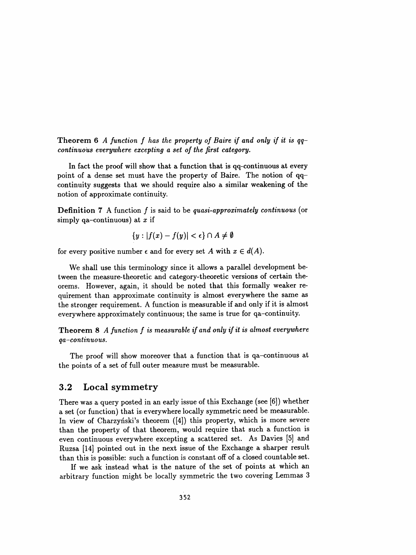**Theorem 6** A function f has the property of Baire if and only if it is  $qq$ continuous everywhere excepting a set of the first category.

 In fact the proof will show that a function that is qq-continuous at every point of a dense set must have the property of Baire. The notion of qq continuity suggests that we should require also a similar weakening of the notion of approximate continuity.

**Definition 7** A function  $f$  is said to be quasi-approximately continuous (or simply qa-continuous) at  $x$  if

$$
\{y:|f(x)-f(y)|<\epsilon\}\cap A\neq\emptyset
$$

for every positive number  $\epsilon$  and for every set A with  $x \in d(A)$ .

 We shall use this terminology since it allows a parallel development be tween the measure-theoretic and category-theoretic versions of certain the orems. However, again, it should be noted that this formally weaker re quirement than approximate continuity is almost everywhere the same as the stronger requirement. A function is measurable if and only if it is almost everywhere approximately continuous; the same is true for qa-continuity.

**Theorem 8** A function  $f$  is measurable if and only if it is almost everywhere qa-continuous.

 The proof will show moreover that a function that is qa-continuous at the points of a set of full outer measure must be measurable.

#### 3.2 Local symmetry

 There was a query posted in an early issue of this Exchange (see [6]) whether a set (or function) that is everywhere locally symmetric need be measurable. In view of Charzynski's theorem ([4]) this property, which is more severe than the property of that theorem, would require that such a function is even continuous everywhere excepting a scattered set. As Davies [5] and Ruzsa [14] pointed out in the next issue of the Exchange a sharper result than this is possible: such a function is constant off of a closed countable set.

 If we ask instead what is the nature of the set of points at which an arbitrary function might be locally symmetric the two covering Lemmas 3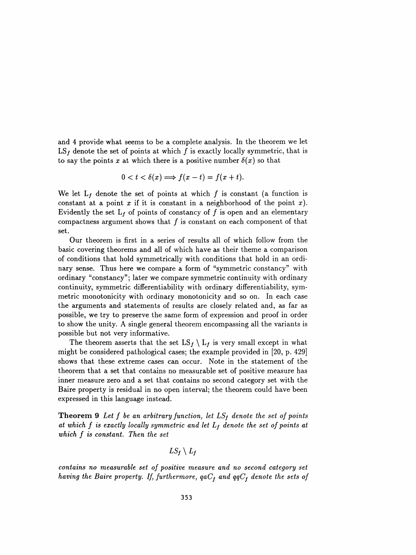and 4 provide what seems to be a complete analysis. In the theorem we let  $LS_f$  denote the set of points at which f is exactly locally symmetric, that is to say the points x at which there is a positive number  $\delta(x)$  so that

$$
0 < t < \delta(x) \Longrightarrow f(x-t) = f(x+t).
$$

We let  $L_f$  denote the set of points at which f is constant (a function is constant at a point  $x$  if it is constant in a neighborhood of the point  $x$ ). Evidently the set  $L_f$  of points of constancy of f is open and an elementary compactness argument shows that  $f$  is constant on each component of that set.

 Our theorem is first in a series of results all of which follow from the basic covering theorems and all of which have as their theme a comparison of conditions that hold symmetrically with conditions that hold in an ordi nary sense. Thus here we compare a form of "symmetric constancy" with ordinary "constancy"; later we compare symmetric continuity with ordinary continuity, symmetric differentiability with ordinary differentiability, sym metric monotonicity with ordinary monotonicity and so on. In each case the arguments and statements of results are closely related and, as far as possible, we try to preserve the same form of expression and proof in order to show the unity. A single general theorem encompassing all the variants is possible but not very informative.

The theorem asserts that the set  $LS_f \setminus L_f$  is very small except in what might be considered pathological cases; the example provided in [20, p. 429] shows that these extreme cases can occur. Note in the statement of the theorem that a set that contains no measurable set of positive measure has inner measure zero and a set that contains no second category set with the Baire property is residual in no open interval; the theorem could have been expressed in this language instead.

**Theorem 9** Let f be an arbitrary function, let  $LS_f$  denote the set of points at which f is exactly locally symmetric and let  $L_f$  denote the set of points at which f is constant. Then the set

$$
LS_{f}\setminus L_{f}
$$

 contains no measurable set of positive measure and no second category set having the Baire property. If, furthermore,  $qaC_f$  and  $qqC_f$  denote the sets of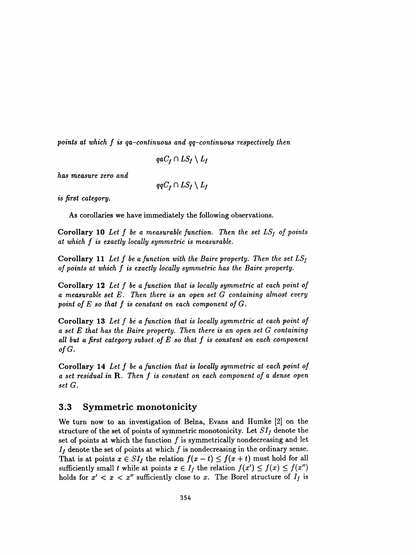points at which f is qa-continuous and qq-continuous respectively then

$$
qaC_f \cap LS_f \setminus L_f
$$

has measure zero and

 $qqC_f \cap LS_f \setminus L_f$ 

is first category.

As corollaries we have immediately the following observations.

Corollary 10 Let f be a measurable function. Then the set  $LS_f$  of points at which f is exactly locally symmetric is measurable.

**Corollary 11** Let f be a function with the Baire property. Then the set  $LS_f$ of points at which f is exactly locally symmetric has the Baire property.

 Corollary 12 Let f be a function that is locally symmetric at each point of a measurable set E. Then there is an open set G containing almost every point of  $E$  so that  $f$  is constant on each component of  $G$ .

 Corollary 13 Let f bè a function that is locally symmetric at each point of a set E that has the Baire property. Then there is an open set G containing all but a first category subset of  $E$  so that  $f$  is constant on each component of  $G$ .

 Corollary 14 Let f be a function that is locally symmetric at each point of a set residual in R. Then f is constant on each component of a dense open set G.

### 3.3 Symmetric monotonicity

 We turn now to an investigation of Belna, Evans and Humke [2] on the structure of the set of points of symmetric monotonicity. Let  $SI<sub>f</sub>$  denote the set of points at which the function  $f$  is symmetrically nondecreasing and let  $I_f$  denote the set of points at which f is nondecreasing in the ordinary sense. That is at points  $x \in SI_f$  the relation  $f(x - t) \le f(x + t)$  must hold for all sufficiently small t while at points  $x \in I_f$  the relation  $f(x') \leq f(x) \leq f(x'')$ holds for  $x' < x < x''$  sufficiently close to x. The Borel structure of  $I_f$  is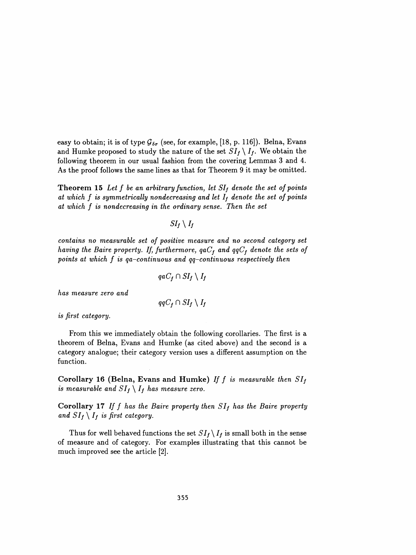easy to obtain; it is of type  $G_{\delta\sigma}$  (see, for example, [18, p. 116]). Belna, Evans and Humke proposed to study the nature of the set  $SI_f \setminus I_f$ . We obtain the following theorem in our usual fashion from the covering Lemmas 3 and 4. As the proof follows the same lines as that for Theorem 9 it may be omitted.

**Theorem 15** Let f be an arbitrary function, let  $SI_f$  denote the set of points at which f is symmetrically nondecreasing and let  $I_f$  denote the set of points at which f is nondecreasing in the ordinary sense. Then the set

 $SI_f\setminus I_f$ 

 contains no measurable set of positive measure and no second category set having the Baire property. If, furthermore,  $qaC_f$  and  $qqC_f$  denote the sets of points at which  $f$  is qa-continuous and  $qq$ -continuous respectively then

$$
qaC_f \cap SI_f \setminus I_f
$$

has measure zero and

$$
qqC_f \cap SI_f \setminus I_f
$$

is first category.

 From this we immediately obtain the following corollaries. The first is a theorem of Belna, Evans and Humke (as cited above) and the second is a category analogue; their category version uses a different assumption on the function.

Corollary 16 (Belna, Evans and Humke) If f is measurable then  $SI_f$ is measurable and  $SI_f \setminus I_f$  has measure zero.

Corollary 17 If f has the Baire property then  $SI_f$  has the Baire property and  $SI_f \setminus I_f$  is first category.

Thus for well behaved functions the set  $SI_f \setminus I_f$  is small both in the sense of measure and of category. For examples illustrating that this cannot be much improved see the article [2].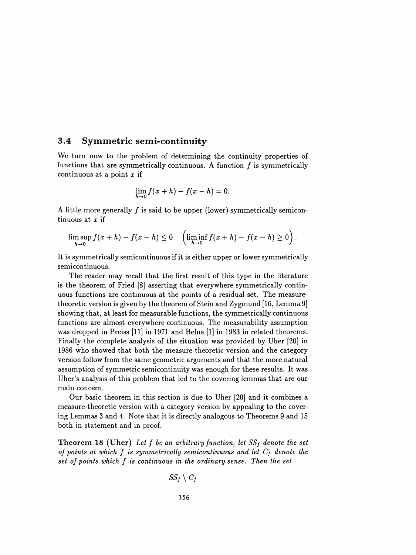#### 3.4 Symmetrie semi-continuity

 We turn now to the problem of determining the continuity properties of functions that are symmetrically continuous. A function  $f$  is symmetrically continuous at a point  $x$  if

$$
\lim_{h\to 0}f(x+h)-f(x-h)=0.
$$

A little more generally  $f$  is said to be upper (lower) symmetrically semicontinuous at  $x$  if

$$
\limsup_{h \to 0} f(x+h) - f(x-h) \le 0 \quad \left(\liminf_{h \to 0} f(x+h) - f(x-h) \ge 0\right).
$$

 semicontinuous.  $\limsup_{h\to 0} f(x+h) - f(x-h) \le 0 \quad \left(\liminf_{h\to 0} f(x+h) - f(x-h) \ge 0\right).$ <br>It is symmetrically semicontinuous if it is either upper or lower symmetrically semicontinuous.

 The reader may recall that the first result of this type in the literature is the theorem of Fried [8] asserting that everywhere symmetrically contin uous functions are continuous at the points of a residual set. The measure theoretic version is given by the theorem of Stein and Zygmund [16, Lemma 9] showing that, at least for measurable functions, the symmetrically continuous functions are almost everywhere continuous. The measurability assumption was dropped in Preiss [11] in 1971 and Belna [1] in 1983 in related theorems. Finally the complete analysis of the situation was provided by Uher [20] in 1986 who showed that both the measure-theoretic version and the category version follow from the same geometric arguments and that the more natural assumption of symmetric semicontinuity was enough for these results. It was Uher's analysis of this problem that led to the covering lemmas that are our main concern.

 Our basic theorem in this section is due to Uher [20] and it combines a measure-theoretic version with a category version by appealing to the cover ing Lemmas 3 and 4. Note that it is directly analogous to Theorems 9 and 15 both in statement and in proof.

**Theorem 18 (Uher)** Let f be an arbitrary function, let  $SS_f$  denote the set of points at which f is symmetrically semicontinuous and let  $C_f$  denote the set of points which f is continuous in the ordinary sense. Then the set

$$
SS_f\setminus C_f
$$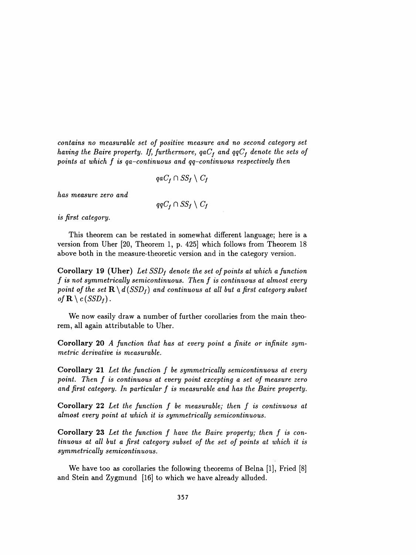contains no measurable set of positive measure and no second category set having the Baire property. If, furthermore,  $qaC_f$  and  $qqC_f$  denote the sets of points at which f is qa-continuous and qq-continuous respectively then

$$
qaC_f \cap SS_f \setminus C_f
$$

has measure zero and

$$
qqC_f \cap SS_f \setminus C_f
$$

is first category.

 This theorem can be restated in somewhat different language; here is a version from Uher [20, Theorem 1, p. 425] which follows from Theorem 18 above both in the measure-theoretic version and in the category version.

Corollary 19 (Uher) Let  $SSD_f$  denote the set of points at which a function f is not symmetrically semicontinuous. Then f is continuous at almost every point of the set  $\mathbf{R} \setminus d(SSD_f)$  and continuous at all but a first category subset of  $\mathbf{R} \setminus c(SSD_f)$ .

 We now easily draw a number of further corollaries from the main theo rem, all again attributable to Uher.

Corollary 20 A function that has at every point a finite or infinite symmetric derivative is measurable.

 Corollary 21 Let the function f be symmetrically semicontinuous at every point. Then f is continuous at every point excepting a set of measure zero and first category. In particular f is measurable and has the Baire property.

 Corollary 22 Let the function f be measurable; then f is continuous at almost every point at which it is symmetrically semicontinuous.

 Corollary 23 Let the function f have the Baire property; then f is con tinuous at all but a first category subset of the set of points at which it is symmetrically semicontinuous.

 We have too as corollaries the following theorems of Belna [1], Fried [8] and Stein and Zygmund [16] to which we have already alluded.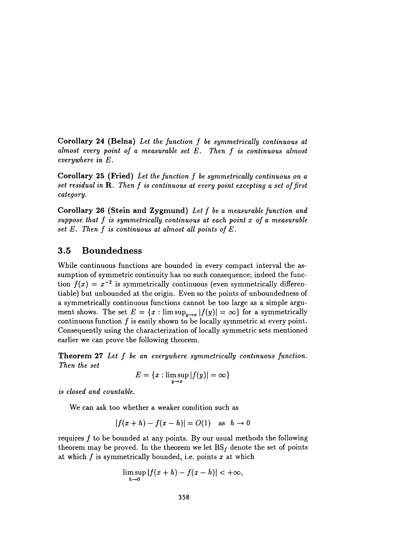Corollary 24 (Belna) Let the function f be symmetrically continuous at almost every point of a measurable set E. Then f is continuous almost everywhere in E.

 Corollary 25 (Fried) Let the function f be symmetrically continuous on a set residual in R. Then f is continuous at every point excepting a set of first category.

 Corollary 26 (Stein and Zygmund) Let f be a measurable function and suppose that f is symmetrically continuous at each point x of a measurable set  $E$ . Then  $f$  is continuous at almost all points of  $E$ .

### 3.5 Boundedness

 While continuous functions are bounded in every compact interval the as sumption of symmetric continuity has no such consequence; indeed the func tion  $f(x) = x^{-2}$  is symmetrically continuous (even symmetrically differentiable) but unbounded at the origin. Even so the points of unboundedness of a symmetrically continuous functions cannot be too large as a simple argu ment shows. The set  $E = \{x : \limsup_{y\to x} |f(y)| = \infty\}$  for a symmetrically continuous function  $f$  is easily shown to be locally symmetric at every point. Consequently using the characterization of locally symmetric sets mentioned earlier we can prove the following theorem.

Theorem 27 Let f be an everywhere symmetrically continuous function. Then the set

$$
E = \{x : \limsup_{y \to x} |f(y)| = \infty\}
$$

is closed and countable.

We can ask too whether a weaker condition such as

$$
|f(x+h)-f(x-h)|=O(1) \quad \text{as} \quad h\to 0
$$

requires  $f$  to be bounded at any points. By our usual methods the following theorem may be proved. In the theorem we let  $BS_f$  denote the set of points at which  $f$  is symmetrically bounded, i.e. points  $x$  at which

$$
\limsup_{h\to 0}|f(x+h)-f(x-h)|<+\infty,
$$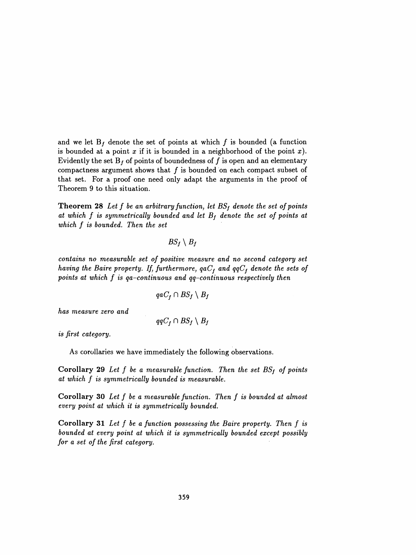and we let  $B_f$  denote the set of points at which f is bounded (a function is bounded at a point x if it is bounded in a neighborhood of the point x). Evidently the set  $B_f$  of points of boundedness of f is open and an elementary compactness argument shows that  $f$  is bounded on each compact subset of that set. For a proof one need only adapt the arguments in the proof of Theorem 9 to this situation.

**Theorem 28** Let f be an arbitrary function, let  $BS_f$  denote the set of points at which  $f$  is symmetrically bounded and let  $B_f$  denote the set of points at which f is bounded. Then the set

$$
BS_f\setminus B_f
$$

 contains no measurable set of positive measure and no second category set having the Baire property. If, furthermore,  $qaC_f$  and  $qqC_f$  denote the sets of points at which  $f$  is qa-continuous and qq-continuous respectively then

$$
qaC_f \cap BS_f \setminus B_f
$$

has measure zero and

$$
qqC_f \cap BS_f \setminus B_f
$$

is first category.

As corollaries we have immediately the following observations.

Corollary 29 Let  $f$  be a measurable function. Then the set  $BS_f$  of points at which f is symmetrically bounded is measurable.

 Corollary 30 Let f be a measurable function. Then f is bounded at almost every point at which it is symmetrically bounded.

 Corollary 31 Let f be a function possessing the Baire property. Then f is bounded at every point at which it is symmetrically bounded except possibly for a set of the first category.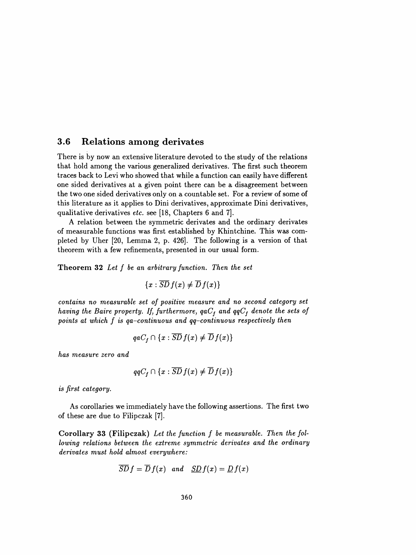### 3.6 Relations among derivates

 There is by now an extensive literature devoted to the study of the relations that hold among the various generalized derivatives. The first such theorem traces back to Levi who showed that while a function can easily have different one sided derivatives at a given point there can be a disagreement between the two one sided derivatives only on a countable set. For a review of some of this literature as it applies to Dini derivatives, approximate Dini derivatives, qualitative derivatives etc. see [18, Chapters 6 and 7].

 A relation between the symmetric derivates and the ordinary derivates of measurable functions was first established by Khintchine. This was com pleted by Uher [20, Lemma 2, p. 426]. The following is a version of that theorem with a few refinements, presented in our usual form.

Theorem 32 Let f be an arbitrary function. Then the set

$$
\{x:\overline{SD}\,f(x)\neq \overline{D}\,f(x)\}
$$

 contains no measurable set of positive measure and no second category set having the Baire property. If, furthermore,  $qaC_f$  and  $qqC_f$  denote the sets of points at which f is qa-continuous and qq-continuous respectively then

$$
qaC_f \cap \{x : \overline{SD} f(x) \neq \overline{D} f(x)\}
$$

has measure zero and

$$
qqC_f \cap \{x : \overline{SD} f(x) \neq \overline{D} f(x)\}\
$$

is first category.

 As corollaries we immediately have the following assertions. The first two of these are due to Filipczak [7].

 Corollary 33 (Filipczak) Let the function f be measurable. Then the fol lowing relations between the extreme symmetric derivates and the ordinary derivates must hold almost everywhere:

$$
\overline{SD} f = \overline{D} f(x) \quad and \quad \underline{SD} f(x) = \underline{D} f(x)
$$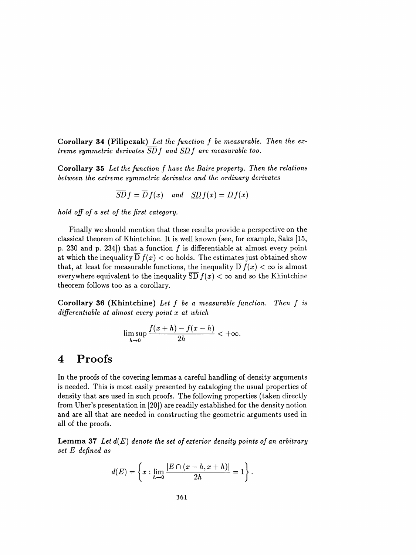Corollary 34 (Filipczak) Let the function  $f$  be measurable. Then the extreme symmetric derivates  $\overline{SD}$  f and  $SD$  f are measurable too.

 Corollary 35 Let the function f have the Baire property. Then the relations between the extreme symmetric derivates and the ordinary derivates

$$
\overline{SD} f = \overline{D} f(x) \quad and \quad \underline{SD} f(x) = \underline{D} f(x)
$$

hold off of a set of the first category.

 Finally we should mention that these results provide a perspective on the classical theorem of Khintchine. It is well known (see, for example, Saks [15, p. 230 and p. 234]) that a function  $f$  is differentiable at almost every point at which the inequality  $\overline{D} f(x) < \infty$  holds. The estimates just obtained show that, at least for measurable functions, the inequality  $D f(x) < \infty$  is almost everywhere equivalent to the inequality  $\overline{SD} f(x) < \infty$  and so the Khintchine theorem follows too as a corollary.

**Corollary 36 (Khintchine)** Let  $f$  be a measurable function. Then  $f$  is differentiable at almost every point x at which

$$
\limsup_{h\to 0}\frac{f(x+h)-f(x-h)}{2h}<+\infty.
$$

# 4 Proofs

 In the proofs of the covering lemmas a careful handling of density arguments is needed. This is most easily presented by cataloging the usual properties of density that are used in such proofs. The following properties (taken directly from Uher's presentation in [20]) are readily established for the density notion and are all that are needed in constructing the geometric arguments used in all of the proofs.

**Lemma 37** Let  $d(E)$  denote the set of exterior density points of an arbitrary set E defined as

$$
d(E)=\left\{x:\lim_{h\to 0}\frac{|E\cap(x-h,x+h)|}{2h}=1\right\}.
$$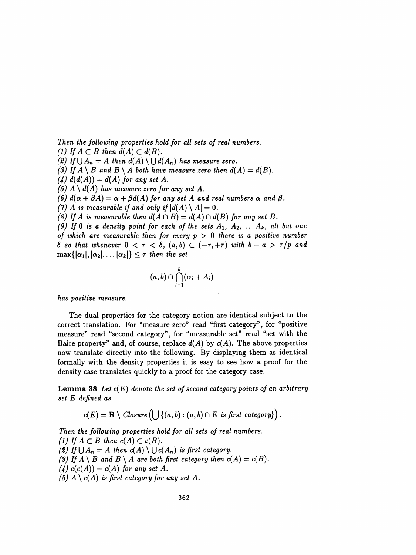Then the following properties hold for all sets of real numbers. (1) If  $A \subset B$  then  $d(A) \subset d(B)$ . (2) If  $\bigcup A_n = A$  then  $d(A) \setminus \bigcup d(A_n)$  has measure zero. (3) If  $A \setminus B$  and  $B \setminus A$  both have measure zero then  $d(A) = d(B)$ . (4)  $d(d(A)) = d(A)$  for any set A. (5)  $A \setminus d(A)$  has measure zero for any set A. (6)  $d(\alpha + \beta A) = \alpha + \beta d(A)$  for any set A and real numbers  $\alpha$  and  $\beta$ . (7) A is measurable if and only if  $|d(A) \setminus A| = 0$ . (8) If A is measurable then  $d(A \cap B) = d(A) \cap d(B)$  for any set B. (9) If 0 is a density point for each of the sets  $A_1, A_2, \ldots A_k$ , all but one of which are measurable then for every  $p > 0$  there is a positive number  $\delta$  so that whenever  $0 < \tau < \delta$ ,  $(a, b) \subset (-\tau, +\tau)$  with  $b - a > \tau/p$  and  $\max\{|\alpha_1|, |\alpha_2|, \ldots |\alpha_k|\} \leq \tau$  then the set

$$
(a,b)\cap \bigcap_{i=1}^k (\alpha_i+A_i)
$$

has positive measure.

 The dual properties for the category notion are identical subject to the correct translation. For "measure zero" read "first category", for "positive measure" read "second category", for "measurable set" read "set with the Baire property" and, of course, replace  $d(A)$  by  $c(A)$ . The above properties now translate directly into the following. By displaying them as identical formally with the density properties it is easy to see how a proof for the density case translates quickly to a proof for the category case.

**Lemma 38** Let  $c(E)$  denote the set of second category points of an arbitrary set E defined as

$$
c(E) = \mathbf{R} \setminus \mathit{Closure}\left(\bigcup \left\{(a,b) : (a,b) \cap E \text{ is first category}\right\}\right).
$$

 Then the following properties hold for all sets of real numbers. (1) If  $A \subset B$  then  $c(A) \subset c(B)$ . (2) If  $\bigcup A_n = A$  then  $c(A) \setminus \bigcup c(A_n)$  is first category. (3) If  $A \setminus B$  and  $B \setminus A$  are both first category then  $c(A) = c(B)$ . (4)  $c(c(A)) = c(A)$  for any set A. (5)  $A \setminus c(A)$  is first category for any set A.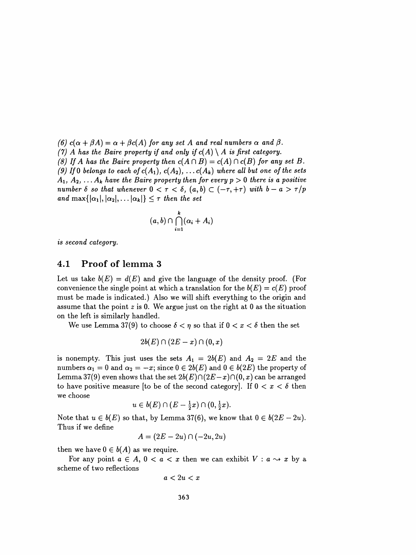(6)  $c(\alpha + \beta A) = \alpha + \beta c(A)$  for any set A and real numbers  $\alpha$  and  $\beta$ . (7) A has the Baire property if and only if  $c(A) \setminus A$  is first category. (8) If A has the Baire property then  $c(A \cap B) = c(A) \cap c(B)$  for any set B. (9) If 0 belongs to each of  $c(A_1)$ ,  $c(A_2)$ ,  $\ldots c(A_k)$  where all but one of the sets  $A_1, A_2, \ldots A_k$  have the Baire property then for every  $p > 0$  there is a positive number  $\delta$  so that whenever  $0 < \tau < \delta$ ,  $(a, b) \subset (-\tau, +\tau)$  with  $b - a > \tau/p$ and max $\{|\alpha_1|, |\alpha_2|, \ldots |\alpha_k|\} \leq \tau$  then the set

$$
(a,b)\cap \bigcap_{i=1}^k (\alpha_i+A_i)
$$

is second category.

#### 4.1 Proof of lemma 3

Let us take  $b(E) = d(E)$  and give the language of the density proof. (For convenience the single point at which a translation for the  $b(E) = c(E)$  proof must be made is indicated.) Also we will shift everything to the origin and assume that the point  $z$  is 0. We argue just on the right at 0 as the situation on the left is similarly handled.

We use Lemma 37(9) to choose  $\delta < \eta$  so that if  $0 < x < \delta$  then the set

$$
2b(E)\cap (2E-x)\cap (0,x)
$$

is nonempty. This just uses the sets  $A_1 = 2b(E)$  and  $A_2 = 2E$  and the numbers  $\alpha_1 = 0$  and  $\alpha_2 = -x$ ; since  $0 \in 2b(E)$  and  $0 \in b(2E)$  the property of Lemma 37(9) even shows that the set  $2b(E)\cap (2E-x)\cap (0, x)$  can be arranged to have positive measure [to be of the second category]. If  $0 < x < \delta$  then we choose

$$
u\in b(E)\cap (E-\tfrac{1}{2}x)\cap (0,\tfrac{1}{2}x).
$$

Note that  $u \in b(E)$  so that, by Lemma 37(6), we know that  $0 \in b(2E - 2u)$ . Thus if we define

$$
A=(2E-2u)\cap(-2u,2u)
$$

then we have  $0 \in b(A)$  as we require.

For any point  $a \in A$ ,  $0 < a < x$  then we can exhibit  $V : a \rightarrow x$  by a scheme of two reflections

$$
a<2u
$$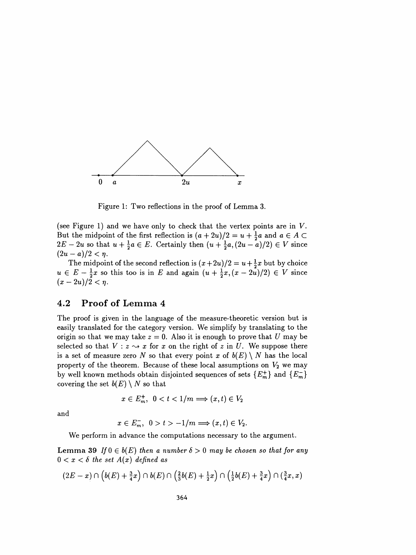

Figure 1: Two reflections in the proof of Lemma 3.

Figure 1: Two reflections in the proof of Lemma 3.<br>(see Figure 1) and we have only to check that the vertex points are in V.<br>But the midpoint of the first reflection is  $(a + 2u)/2 = u + \frac{1}{2}a$  and  $a \in A \subset$ (see Figure 1) and we have only to check that the vertex points are in V.<br>But the midpoint of the first reflection is  $(a + 2u)/2 = u + \frac{1}{2}a$  and  $a \in A \subset 2E - 2u$  so that  $u + \frac{1}{2}a \in E$ . Certainly then  $(u + \frac{1}{2}a,(2u - a)/2) \in V$ (see Figure 1) and we have only to check that the vertex points are in V.<br>But the midpoint of the first reflection is  $(a + 2u)/2 = u + \frac{1}{2}a$  and  $a \in A \subset 2E - 2u$  so that  $u + \frac{1}{2}a \in E$ . Certainly then  $(u + \frac{1}{2}a, (2u - a)/2) \in$ But the midpoint of the first reflection is  $(a + 2u)/2 = u + \frac{1}{2}a$  and  $a \in A \subset 2E - 2u$  so that  $u + \frac{1}{2}a \in E$ . Certainly then  $(u + \frac{1}{2}a, (2u - a)/2) \in V$  since  $(2u - a)/2 < \eta$ .<br>The midpoint of the second reflection is  $(x + 2u)/2 = u$  $\frac{1}{2}$  as that  $u + \frac{1}{2}a \in E$ . Certainly then  $(u + \frac{1}{2}a, (2u - a)/2) \in V$  since<br>  $\frac{1}{2}$  and  $\frac{1}{2}$  and  $\frac{1}{2}$  and  $\frac{1}{2}$  and  $\frac{1}{2}$  and  $\frac{1}{2}$  and  $\frac{1}{2}$  and  $\frac{1}{2}$  and  $\frac{1}{2}$  and  $\frac{1}{2}$  and

 $(2u - a)/2 < \eta$ .<br>
The midpoint of the second reflection is  $(x+2u)/2 = u + \frac{1}{2}x$  but by choice<br>  $u \in E - \frac{1}{2}x$  so this too is in E and again  $(u + \frac{1}{2}x, (x - 2u)/2) \in V$  since<br>  $(x - 2u)/2 < \eta$ .  $u \in E - \frac{1}{2}x$  so this too is in E and again  $(u + \frac{1}{2}x, (x - 2u)/2) \in V$  since  $(x - 2u)/2 < \eta$ .

### 4.2 Proof of Lemma 4

 The proof is given in the language of the measure-theoretic version but is easily translated for the category version. We simplify by translating to the origin so that we may take  $z = 0$ . Also it is enough to prove that U may be selected so that  $V: z \rightarrow x$  for x on the right of z in U. We suppose there is a set of measure zero N so that every point x of  $b(E) \setminus N$  has the local property of the theorem. Because of these local assumptions on  $V_2$  we may by well known methods obtain disjointed sequences of sets  ${E_m^+}$  and  ${E_m^-}$ covering the set  $b(E) \setminus N$  so that

$$
x \in E_m^+, \ \ 0 < t < 1/m \Longrightarrow (x, t) \in V_2
$$

and

$$
x\in E^-_m,\ \ 0>t>-1/m\Longrightarrow (x,t)\in V_2.
$$

We perform in advance the computations necessary to the argument.

Lemma 39 If  $0 \in b(E)$  then a number  $\delta > 0$  may be chosen so that for any  $0 < x < \delta$  the set  $A(x)$  defined as

$$
(2E-x)\cap \left(b(E)+\tfrac{3}{4}x\right)\cap b(E)\cap \left(\tfrac{2}{3}b(E)+\tfrac{1}{2}x\right)\cap \left(\tfrac{1}{2}b(E)+\tfrac{3}{4}x\right)\cap \left(\tfrac{3}{4}x,x\right)
$$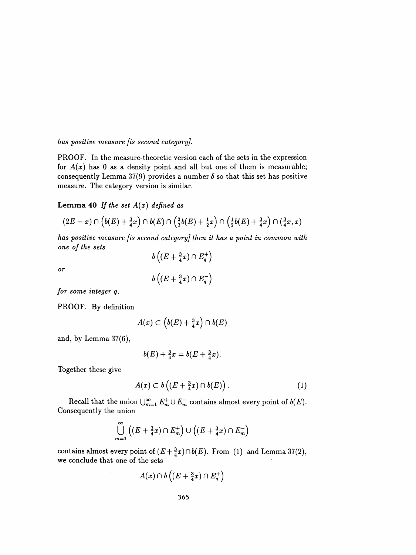has positive measure [is second category].

 PROOF. In the measure-theoretic version each of the sets in the expression for  $A(x)$  has 0 as a density point and all but one of them is measurable; consequently Lemma 37(9) provides a number  $\delta$  so that this set has positive measure. The category version is similar.

Lemma 40 If the set  $A(x)$  defined as

$$
(2E-x)\cap (b(E)+\tfrac{3}{4}x)\cap b(E)\cap (\tfrac{2}{3}b(E)+\tfrac{1}{2}x)\cap (\tfrac{1}{2}b(E)+\tfrac{3}{4}x)\cap (\tfrac{3}{4}x,x)
$$

 has positive measure [is second category] then it has a point in common with one of the sets

or

 $b\left((E+\frac{3}{4}x)\cap E_{q}^{+}\right)$  $b\left((E+\frac{3}{4}x)\cap E_q^-\right)$ 

for some integer q.

PROOF. By definition

$$
A(x) \subset \left(b(E) + \frac{3}{4}x\right) \cap b(E)
$$

and, by Lemma 37(6),

$$
b(E) + \frac{3}{4}x = b(E + \frac{3}{4}x).
$$

Together these give

$$
A(x) \subset b\left( (E + \frac{3}{4}x) \cap b(E) \right). \tag{1}
$$

Recall that the union  $\bigcup_{m=1}^{\infty} E_m^+ \cup E_m^-$  contains almost every point of  $b(E)$ . Consequently the union

$$
\bigcup_{m=1}^{\infty} \left( (E + \frac{3}{4}x) \cap E_m^+ \right) \cup \left( (E + \frac{3}{4}x) \cap E_m^- \right)
$$

contains almost every point of  $(E + \frac{3}{4}x) \cap b(E)$ . From (1) and Lemma 37(2), we conclude that one of the sets

$$
A(x)\cap b\left((E+\tfrac{3}{4}x)\cap E_q^+\right)
$$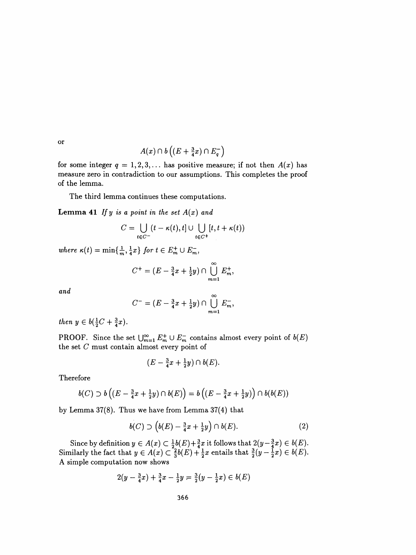or

$$
A(x)\cap b\left((E+\tfrac{3}{4}x)\cap E_q^-\right)
$$

for some integer  $q = 1, 2, 3, \ldots$  has positive measure; if not then  $A(x)$  has measure zero in contradiction to our assumptions. This completes the proof of the lemma.

The third lemma continues these computations.

**Lemma 41** If y is a point in the set  $A(x)$  and

$$
C = \bigcup_{t \in C^-} (t - \kappa(t), t] \cup \bigcup_{t \in C^+} [t, t + \kappa(t))
$$

where  $\kappa(t) = \min\{\frac{1}{m},\frac{1}{4}x\}$  for  $t \in E_m^+ \cup E_m^-$ ,

$$
C^{+} = (E - \frac{3}{4}x + \frac{1}{2}y) \cap \bigcup_{m=1}^{\infty} E_{m}^{+},
$$

and

$$
C^{-} = (E - \frac{3}{4}x + \frac{1}{2}y) \cap \bigcup_{m=1}^{\infty} E_{m}^{-},
$$

then  $y \in b(\frac{1}{2}C + \frac{3}{4}x)$ .

PROOF. Since the set  $\bigcup_{m=1}^{\infty} E_m^+ \cup E_m^-$  contains almost every point of  $b(E)$ the set  $C$  must contain almost every point of

$$
(E-\tfrac{3}{4}x+\tfrac{1}{2}y)\cap b(E).
$$

Therefore

$$
b(C) \supset b\left((E-\frac{3}{4}x+\frac{1}{2}y)\cap b(E)\right)=b\left((E-\frac{3}{4}x+\frac{1}{2}y)\right)\cap b(b(E))
$$

by Lemma 37(8). Thus we have from Lemma 37(4) that

$$
b(C) \supset \left(b(E) - \frac{3}{4}x + \frac{1}{2}y\right) \cap b(E). \tag{2}
$$

Since by definition  $y \in A(x) \subseteq \frac{1}{2} \mathfrak{v}(E) + \frac{1}{4}x$  it follows that  $2(y - \frac{1}{4}x) \in \mathfrak{v}(E)$ . Similarly the fact that  $y \in A(x) \subset \frac{1}{3} b(E) + \frac{1}{2} x$  entails that  $\frac{1}{2}(y - \frac{1}{2}x) \in b(E)$ . A simple computation now shows

$$
2(y - \frac{3}{4}x) + \frac{3}{4}x - \frac{1}{2}y = \frac{3}{2}(y - \frac{1}{2}x) \in b(E)
$$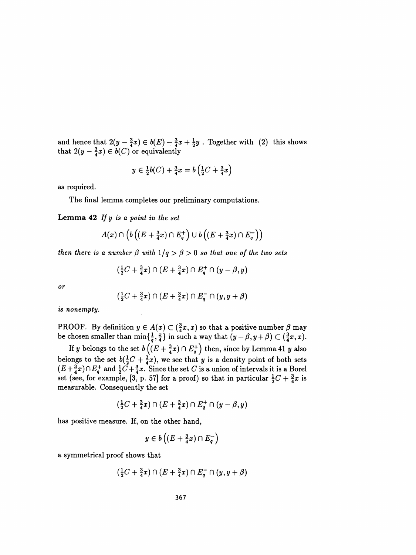and hence that  $z(y - \frac{1}{4}x) \in o(E) - \frac{1}{4}x + \frac{1}{2}y$ . Together with (2) this shows that  $2(y - \frac{1}{4}x) \in o(C)$  or equivalently

$$
y \in \frac{1}{2}b(C) + \frac{3}{4}x = b\left(\frac{1}{2}C + \frac{3}{4}x\right)
$$

as required.

The final lemma completes our preliminary computations.

**Lemma 42** If  $y$  is a point in the set

$$
A(x) \cap \left(b\left((E+\tfrac{3}{4}x)\cap E_q^+\right) \cup b\left((E+\tfrac{3}{4}x)\cap E_q^-\right)\right)
$$

then there is a number  $\beta$  with  $1/q > \beta > 0$  so that one of the two sets

$$
(\tfrac{1}{2}C + \tfrac{3}{4}x) \cap (E + \tfrac{3}{4}x) \cap E_q^+ \cap (y - \beta, y)
$$

or

$$
(\tfrac{1}{2}C+\tfrac{3}{4}x)\cap (E+\tfrac{3}{4}x)\cap E^-_q\cap (y,y+\beta)
$$

is nonempty.

PROOF. By definition  $y \in A(x) \subset (\frac{3}{4}x, x)$  so that a positive number  $\beta$  may be chosen smaller than  $\min\{\frac{1}{q}, \frac{1}{4}\}$  in such a way that  $(y - \beta, y + \beta) \subset (\frac{1}{4}x, x)$ .

If y belongs to the set  $b\left((E+\frac{3}{4}x)\cap E_q^+\right)$  then, since by Lemma 41 y also belongs to the set  $b(\frac{1}{2}C + \frac{3}{4}x)$ , we see that y is a density point of both sets  $(E+\frac{2}{4}x)\cap E_7^+$  and  $\frac{1}{2}C+\frac{3}{4}x$ . Since the set C is a union of intervals it is a Borei set (see, for example, [3, p. 57] for a proof) so that in particular  $\frac{1}{2}C + \frac{3}{4}x$  is measurable. Consequently the set

$$
(\tfrac{1}{2}C+\tfrac{3}{4}x)\cap(E+\tfrac{3}{4}x)\cap E^+_q\cap(y-\beta,y)
$$

has positive measure. If, on the other hand,

$$
y\in b\left((E+\tfrac{3}{4}x)\cap E_q^-\right)
$$

a symmetrical proof shows that

$$
(\tfrac{1}{2}C+\tfrac{3}{4}x)\cap (E+\tfrac{3}{4}x)\cap E^-_q\cap (y,y+\beta)
$$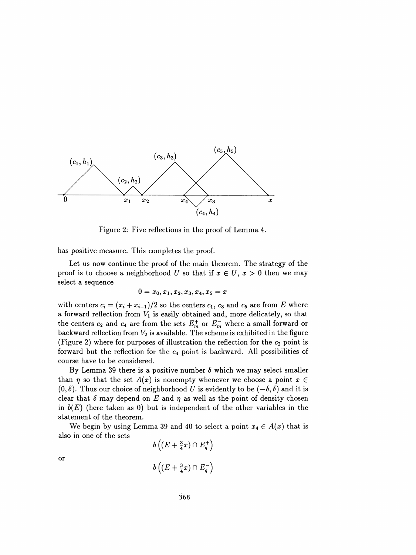

Figure 2: Five reflections in the proof of Lemma 4.

has positive measure. This completes the proof.

 Let us now continue the proof of the main theorem. The strategy of the proof is to choose a neighborhood U so that if  $x \in U$ ,  $x > 0$  then we may select a sequence

$$
0 = x_0, x_1, x_2, x_3, x_4, x_5 = x \\
$$

with centers  $c_i = (x_i + x_{i-1})/2$  so the centers  $c_1$ ,  $c_3$  and  $c_5$  are from E where a forward reflection from  $V_1$  is easily obtained and, more delicately, so that the centers  $c_2$  and  $c_4$  are from the sets  $E_m^+$  or  $E_m^-$  where a small forward or backward reflection from  $V_2$  is available. The scheme is exhibited in the figure (Figure 2) where for purposes of illustration the reflection for the  $c_2$  point is forward but the reflection for the  $c_4$  point is backward. All possibilities of course have to be considered.

By Lemma 39 there is a positive number  $\delta$  which we may select smaller than  $\eta$  so that the set  $A(x)$  is nonempty whenever we choose a point  $x \in$  $(0, \delta)$ . Thus our choice of neighborhood U is evidently to be  $(-\delta, \delta)$  and it is clear that  $\delta$  may depend on E and  $\eta$  as well as the point of density chosen in  $b(E)$  (here taken as 0) but is independent of the other variables in the statement of the theorem.

We begin by using Lemma 39 and 40 to select a point  $x_4 \in A(x)$  that is also in one of the sets

$$
b\left((E+\frac{3}{4}x)\cap E_q^+\right)
$$
  

$$
b\left((E+\frac{3}{4}x)\cap E_q^-\right)
$$

or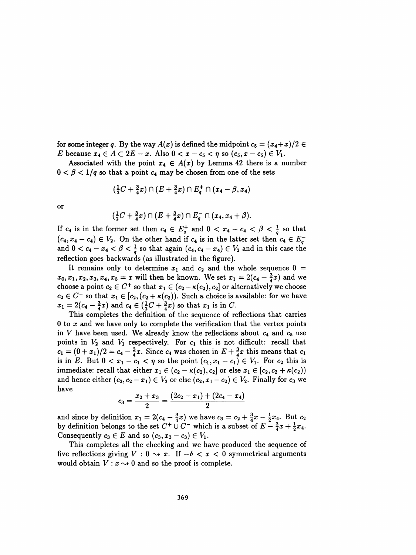for some integer q. By the way  $A(x)$  is defined the midpoint  $c_5 = (x_4+x)/2 \in$ E because  $x_4 \in A \subset 2E - x$ . Also  $0 < x - c_5 < \eta$  so  $(c_5, x - c_5) \in V_1$ .

Associated with the point  $x_4 \in A(x)$  by Lemma 42 there is a number  $0 < \beta < 1/q$  so that a point  $c_4$  may be chosen from one of the sets

$$
(\frac{1}{2}C + \frac{3}{4}x) \cap (E + \frac{3}{4}x) \cap E_q^+ \cap (x_4 - \beta, x_4)
$$

or

$$
(\frac{1}{2}C + \frac{3}{4}x) \cap (E + \frac{3}{4}x) \cap E_q^- \cap (x_4, x_4 + \beta).
$$

If  $c_4$  is in the former set then  $c_4 \in E_q^+$  and  $0 < x_4 - c_4 < \beta < \frac{1}{q}$  so that  $(c_4, x_4 - c_4) \in V_2$ . On the other hand if  $c_4$  is in the latter set then  $c_4 \in E_q^$ and  $0 < c_4 - x_4 < \beta < \frac{1}{q}$  so that again  $(c_4, c_4 - x_4) \in V_2$  and in this case the reflection goes backwards (as illustrated in the figure).

It remains only to determine  $x_1$  and  $c_2$  and the whole sequence  $0 =$  $x_0, x_1, x_2, x_3, x_4, x_5 = x$  will then be known. We set  $x_1 = 2(c_4 - \frac{3}{4}x)$  and we choose a point  $c_2 \in C^+$  so that  $x_1 \in (c_2 - \kappa(c_2), c_2]$  or alternatively we choose  $c_2 \in C^-$  so that  $x_1 \in [c_2, (c_2 + \kappa(c_2))$ . Such a choice is available: for we have  $x_1 = 2(c_4 - \frac{3}{4}x)$  and  $c_4 \in (\frac{1}{2}C + \frac{3}{4}x)$  so that  $x_1$  is in C.

 This completes the definition of the sequence of reflections that carries 0 to x and we have only to complete the verification that the vertex points in V have been used. We already know the reflections about  $c_4$  and  $c_5$  use points in  $V_2$  and  $V_1$  respectively. For  $c_1$  this is not difficult: recall that  $c_1 = (0 + x_1)/2 = c_4 - \frac{3}{4}x$ . Since  $c_4$  was chosen in  $E + \frac{3}{4}x$  this means that  $c_1$ is in E. But  $0 < x_1 - c_1 < \eta$  so the point  $(c_1, x_1 - c_1) \in V_1$ . For  $c_2$  this is immediate: recall that either  $x_1 \in (c_2 - \kappa(c_2), c_2]$  or else  $x_1 \in [c_2, c_2 + \kappa(c_2))$ and hence either  $(c_2, c_2 - x_1) \in V_2$  or else  $(c_2, x_1 - c_2) \in V_2$ . Finally for  $c_3$  we have

$$
c_3 = \frac{x_2 + x_3}{2} = \frac{(2c_2 - x_1) + (2c_4 - x_4)}{2}
$$

and since by definition  $x_1 = 2(c_4 - \frac{3}{4}x)$  we have  $c_3 = c_2 + \frac{3}{4}x - \frac{1}{2}x_4$ . But  $c_2$ <br>by definition belongs to the set  $C + 1/C$  which is a subset of  $F = \frac{3}{4}\pi + \frac{1}{4}\pi$ . by definition belongs to the set  $C^+ \cup C^-$  which is a subset of  $E - \frac{3}{4}x + \frac{1}{2}x_4$ .<br>Consequently  $c \in E$  and so  $(c, x - c) \in V$ . Consequently  $c_3 \in E$  and so  $(c_3, x_3 - c_3) \in V_1$ .

 This completes all the checking and we have produced the sequence of This completes all the checking and we have produced the sequence of<br>five reflections giving  $V : 0 \rightarrow x$ . If  $-\delta < x < 0$  symmetrical arguments nve renections giving  $V : 0 \rightarrow x$ . If  $-0 < x < 0$  symmetrical arguments<br>would obtain  $V : x \rightarrow 0$  and so the proof is complete.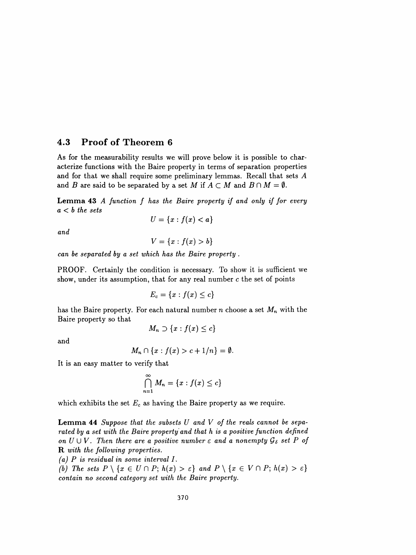### 4.3 Proof of Theorem 6

 As for the measurability results we will prove below it is possible to char acterize functions with the Baire property in terms of separation properties and for that we shall require some preliminary lemmas. Recall that sets A and B are said to be separated by a set M if  $A \subset M$  and  $B \cap M = \emptyset$ .

Lemma 43 A function f has the Baire property if and only if for every  $a < b$  the sets

$$
U = \{x : f(x) < a\}
$$

and

$$
V=\{x: f(x)>b\}
$$

can be separated by a set which has the Baire property .

 PROOF. Certainly the condition is necessary. To show it is sufficient we show, under its assumption, that for any real number  $c$  the set of points

$$
E_c=\{x: f(x)\leq c\}
$$

has the Baire property. For each natural number n choose a set  $M_n$  with the Baire property so that

$$
M_n\supset\{x:f(x)\leq c\}
$$

and

$$
M_n \cap \{x : f(x) > c + 1/n\} = \emptyset.
$$

It is an easy matter to verify that

$$
\bigcap_{n=1}^{\infty} M_n = \{x : f(x) \leq c\}
$$

which exhibits the set  $E_c$  as having the Baire property as we require.

**Lemma 44** Suppose that the subsets  $U$  and  $V$  of the reals cannot be sepa rated by a set with the Baire property and that h is a positive function defined on  $U \cup V$ . Then there are a positive number  $\varepsilon$  and a nonempty  ${\cal G}_\delta$  set P of R with the following properties.

(a) P is residual in some interval I.

(b) The sets  $P \setminus \{x \in U \cap P; h(x) > \varepsilon\}$  and  $P \setminus \{x \in V \cap P; h(x) > \varepsilon\}$ contain no second category set with the Baire property.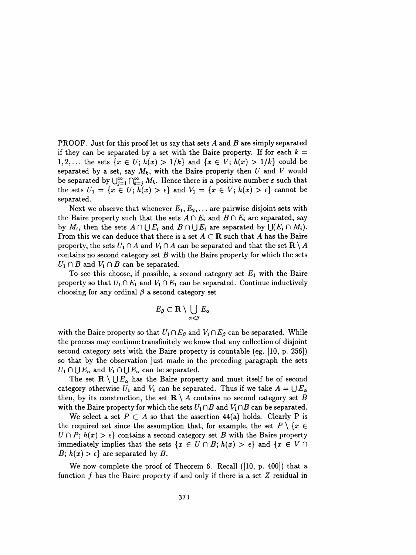PROOF. Just for this proof let us say that sets A and B are simply separated if they can be separated by a set with the Baire property. If for each  $k =$ 1,2,... the sets  $\{x \in U; h(x) > 1/k\}$  and  $\{x \in V; h(x) > 1/k\}$  could be separated by a set, say  $M_k$ , with the Baire property then U and V would be separated by  $\bigcup_{j=1}^{\infty} \bigcap_{k=j}^{\infty} M_k$ . Hence there is a positive number  $\varepsilon$  such that the sets  $U_1 = \{x \in U; h(x) > \epsilon\}$  and  $V_1 = \{x \in V; h(x) > \epsilon\}$  cannot be separated.

Next we observe that whenever  $E_1, E_2, \ldots$  are pairwise disjoint sets with the Baire property such that the sets  $A \cap E_i$  and  $B \cap E_i$  are separated, say by  $M_i$ , then the sets  $A \cap \bigcup E_i$  and  $B \cap \bigcup E_i$  are separated by  $\bigcup (E_i \cap M_i).$ From this we can deduce that there is a set  $A \subset \mathbf{R}$  such that A has the Baire property, the sets  $U_1 \cap A$  and  $V_1 \cap A$  can be separated and that the set  $\mathbb{R} \setminus A$ contains no second category set  $B$  with the Baire property for which the sets  $U_1 \cap B$  and  $V_1 \cap B$  can be separated.

To see this choose, if possible, a second category set  $E_1$  with the Baire property so that  $U_1 \cap E_1$  and  $V_1 \cap E_1$  can be separated. Continue inductively choosing for any ordinal  $\beta$  a second category set

$$
E_{\beta}\subset\mathbf{R}\setminus\bigcup_{\alpha<\beta}E_{\alpha}
$$

with the Baire property so that  $U_1 \cap E_\beta$  and  $V_1 \cap E_\beta$  can be separated. While the process may continue transfinitely we know that any collection of disjoint second category sets with the Baire property is countable (eg. [10, p. 256]) so that by the observation just made in the preceding paragraph the sets  $U_1 \cap \bigcup E_\alpha$  and  $V_1 \cap \bigcup E_\alpha$  can be separated.

The set  $\mathbf{R} \setminus \bigcup E_{\alpha}$  has the Baire property and must itself be of second category otherwise  $U_1$  and  $V_1$  can be separated. Thus if we take  $A = \bigcup E_{\alpha}$ then, by its construction, the set  $\mathbf{R} \setminus A$  contains no second category set B with the Baire property for which the sets  $U_1 \cap B$  and  $V_1 \cap B$  can be separated.

We select a set  $P \subset A$  so that the assertion 44(a) holds. Clearly P is the required set since the assumption that, for example, the set  $P \setminus \{x \in$  $U \cap P$ ;  $h(x) > \epsilon$  contains a second category set B with the Baire property immediately implies that the sets  $\{x \in U \cap B; h(x) > \epsilon\}$  and  $\{x \in V \cap B\}$  $B; h(x) > \epsilon$  are separated by B.

We now complete the proof of Theorem 6. Recall ([10, p. 400]) that a function  $f$  has the Baire property if and only if there is a set  $Z$  residual in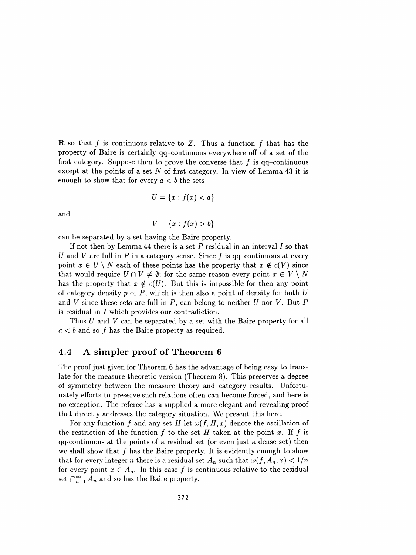**R** so that f is continuous relative to Z. Thus a function f that has the property of Baire is certainly qq-continuous everywhere off of a set of the first category. Suppose then to prove the converse that  $f$  is qq-continuous except at the points of a set N of first category. In view of Lemma  $43$  it is enough to show that for every  $a < b$  the sets

$$
U = \{x : f(x) < a\}
$$

and

$$
V = \{x : f(x) > b\}
$$

can be separated by a set having the Baire property.

If not then by Lemma 44 there is a set  $P$  residual in an interval  $I$  so that U and V are full in P in a category sense. Since f is qq-continuous at every point  $x \in U \setminus N$  each of these points has the property that  $x \notin c(V)$  since that would require  $U \cap V \neq \emptyset$ ; for the same reason every point  $x \in V \setminus N$ has the property that  $x \notin c(U)$ . But this is impossible for then any point of category density  $p$  of  $P$ , which is then also a point of density for both  $U$ and V since these sets are full in P, can belong to neither U nor V. But P is residual in I which provides our contradiction.

Thus  $U$  and  $V$  can be separated by a set with the Baire property for all  $a < b$  and so f has the Baire property as required.

### 4.4 A simpler proof of Theorem 6

 The proof just given for Theorem 6 has the advantage of being easy to trans late for the measure-theoretic version (Theorem 8). This preserves a degree of symmetry between the measure theory and category results. Unfortu nately efforts to preserve such relations often can become forced, and here is no exception. The referee has a supplied a more elegant and revealing proof that directly addresses the category situation. We present this here.

For any function f and any set H let  $\omega(f, H, x)$  denote the oscillation of the restriction of the function  $f$  to the set  $H$  taken at the point  $x$ . If  $f$  is qq-continuous at the points of a residual set (or even just a dense set) then we shall show that  $f$  has the Baire property. It is evidently enough to show that for every integer n there is a residual set  $A_n$  such that  $\omega(f, A_n, x) < 1/n$ for every point  $x \in A_n$ . In this case f is continuous relative to the residual set  $\bigcap_{n=1}^{\infty} A_n$  and so has the Baire property.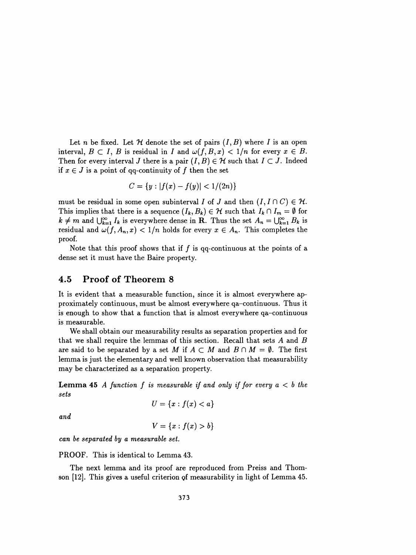Let n be fixed. Let  $\mathcal H$  denote the set of pairs  $(I, B)$  where I is an open interval,  $B \subset I$ , B is residual in I and  $\omega(f, B, x) < 1/n$  for every  $x \in B$ . Then for every interval J there is a pair  $(I, B) \in \mathcal{H}$  such that  $I \subset J$ . Indeed if  $x \in J$  is a point of qq-continuity of f then the set

$$
C = \{y : |f(x) - f(y)| < 1/(2n)\}
$$

must be residual in some open subinterval I of J and then  $(I, I \cap C) \in \mathcal{H}$ . This implies that there is a sequence  $(I_k,B_k) \in \mathcal{H}$  such that  $I_k \cap I_m = \emptyset$  for  $k \neq m$  and  $\bigcup_{k=1}^{\infty} I_k$  is everywhere dense in R. Thus the set  $A_n = \bigcup_{k=1}^{\infty} B_k$  is residual and  $\omega(f,A_n,x) < 1/n$  holds for every  $x \in A_n$ . This completes the proof.

Note that this proof shows that if  $f$  is qq-continuous at the points of a dense set it must have the Baire property.

### 4.5 Proof of Theorem 8

 It is evident that a measurable function, since it is almost everywhere ap proximately continuous, must be almost everywhere qa-continuous. Thus it is enough to show that a function that is almost everywhere qa-continuous is measurable.

 We shall obtain our measurability results as separation properties and for that we shall require the lemmas of this section. Recall that sets  $A$  and  $B$ are said to be separated by a set M if  $A \subset M$  and  $B \cap M = \emptyset$ . The first lemma is just the elementary and well known observation that measurability may be characterized as a separation property.

**Lemma 45** A function f is measurable if and only if for every  $a < b$  the sets

$$
U=\{x: f(x)
$$

and

$$
V = \{x : f(x) > b\}
$$

can be separated by a measurable set.

PROOF. This is identical to Lemma 43.

 The next lemma and its proof are reproduced from Preiss and Thom son  $[12]$ . This gives a useful criterion of measurability in light of Lemma 45.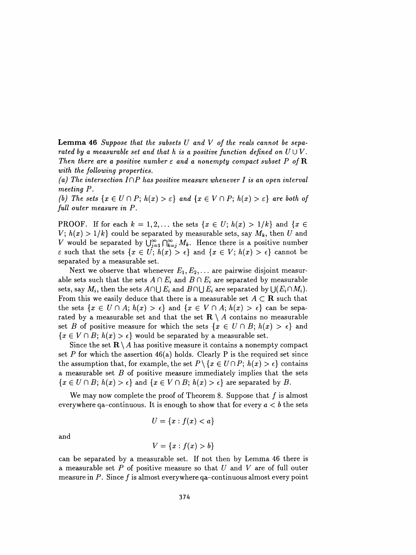**Lemma 46** Suppose that the subsets  $U$  and  $V$  of the reals cannot be separated by a measurable set and that h is a positive function defined on  $U \cup V$ . Then there are a positive number  $\varepsilon$  and a nonempty compact subset P of R with the following properties.

(a) The intersection  $I\cap P$  has positive measure whenever I is an open interval meeting P.

(b) The sets  $\{x \in U \cap P; h(x) > \varepsilon\}$  and  $\{x \in V \cap P; h(x) > \varepsilon\}$  are both of full outer measure in P.

**PROOF.** If for each  $k = 1, 2, ...$  the sets  $\{x \in U; h(x) > 1/k\}$  and  $\{x \in$  $V; h(x) > 1/k$  could be separated by measurable sets, say  $M_k$ , then U and V would be separated by  $\bigcup_{j=1}^{\infty}\bigcap_{k=j}^{\infty}M_k$ . Hence there is a positive number  $\varepsilon$  such that the sets  $\{x \in U; h(x) > \varepsilon\}$  and  $\{x \in V; h(x) > \varepsilon\}$  cannot be separated by a measurable set.

Next we observe that whenever  $E_1, E_2, \ldots$  are pairwise disjoint measurable sets such that the sets  $A \cap E_i$  and  $B \cap E_i$  are separated by measurable sets, say  $M_i$ , then the sets  $A \cap \bigcup E_i$  and  $B \cap \bigcup E_i$  are separated by  $\bigcup (E_i \cap M_i)$ . From this we easily deduce that there is a measurable set  $A \subset \mathbf{R}$  such that the sets  $\{x \in U \cap A; h(x) > \epsilon\}$  and  $\{x \in V \cap A; h(x) > \epsilon\}$  can be separated by a measurable set and that the set  $\mathbf{R} \setminus A$  contains no measurable set B of positive measure for which the sets  $\{x \in U \cap B; h(x) > \epsilon\}$  and  ${x \in V \cap B; h(x) > \epsilon}$  would be separated by a measurable set.

Since the set  $\mathbf{R} \setminus A$  has positive measure it contains a nonempty compact set P for which the assertion  $46(a)$  holds. Clearly P is the required set since the assumption that, for example, the set  $P \setminus \{x \in U \cap P; h(x) > \epsilon\}$  contains a measurable set  $B$  of positive measure immediately implies that the sets  ${x \in U \cap B; h(x) > \epsilon}$  and  ${x \in V \cap B; h(x) > \epsilon}$  are separated by B.

We may now complete the proof of Theorem 8. Suppose that  $f$  is almost everywhere qa-continuous. It is enough to show that for every  $a < b$  the sets

$$
U = \{x : f(x) < a\}
$$

and

$$
V = \{x : f(x) > b\}
$$

 can be separated by a measurable set. If not then by Lemma 46 there is a measurable set  $P$  of positive measure so that  $U$  and  $V$  are of full outer measure in  $P$ . Since f is almost everywhere qa-continuous almost every point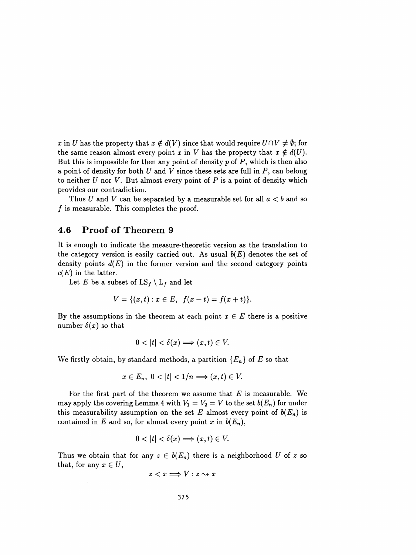x in U has the property that  $x \notin d(V)$  since that would require  $U \cap V \neq \emptyset$ ; for the same reason almost every point x in V has the property that  $x \notin d(U)$ . But this is impossible for then any point of density  $p$  of  $P$ , which is then also a point of density for both  $U$  and  $V$  since these sets are full in  $P$ , can belong to neither  $U$  nor  $V$ . But almost every point of  $P$  is a point of density which provides our contradiction.

Thus U and V can be separated by a measurable set for all  $a < b$  and so  $f$  is measurable. This completes the proof.

#### 4.6 Proof of Theorem 9

 It is enough to indicate the measure-theoretic version as the translation to the category version is easily carried out. As usual  $b(E)$  denotes the set of density points  $d(E)$  in the former version and the second category points  $c(E)$  in the latter.

Let E be a subset of  $LS_f \setminus L_f$  and let

$$
V = \{(x,t) : x \in E, \ f(x-t) = f(x+t)\}.
$$

By the assumptions in the theorem at each point  $x \in E$  there is a positive number  $\delta(x)$  so that

$$
0 < |t| < \delta(x) \Longrightarrow (x, t) \in V.
$$

We firstly obtain, by standard methods, a partition  ${E_n}$  of E so that

$$
x\in E_n, \ 0<|t|<1/n \Longrightarrow (x,t)\in V.
$$

For the first part of the theorem we assume that  $E$  is measurable. We may apply the covering Lemma 4 with  $V_1 = V_2 = V$  to the set  $b(E_n)$  for under this measurability assumption on the set E almost every point of  $b(E_n)$  is contained in E and so, for almost every point x in  $b(E_n)$ ,

$$
0 < |t| < \delta(x) \Longrightarrow (x, t) \in V.
$$

Thus we obtain that for any  $z \in b(E_n)$  there is a neighborhood U of z so that, for any  $x \in U$ ,

$$
z < x \Longrightarrow V : z \leadsto x
$$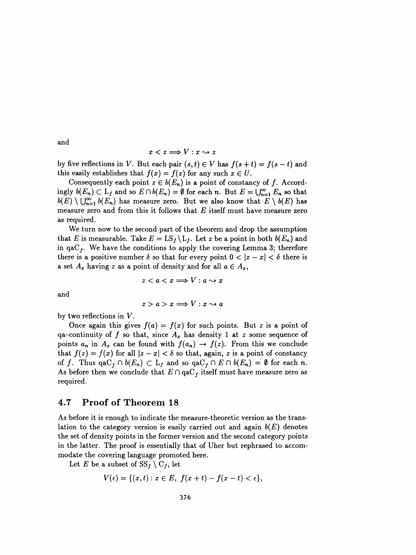and

$$
x < z \Longrightarrow V : x \leadsto z
$$

by five reflections in V. But each pair  $(s,t) \in V$  has  $f(s+t) = f(s-t)$  and this easily establishes that  $f(x) = f(z)$  for any such  $x \in U$ .

Consequently each point  $z \in b(E_n)$  is a point of constancy of f. Accordingly  $b(E_n) \subset L_f$  and so  $E \cap b(E_n) = \emptyset$  for each n. But  $E = \bigcup_{n=1}^{\infty} E_n$  so that  $b(E) \setminus \bigcup_{n=1}^{\infty} b(E_n)$  has measure zero. But we also know that  $E \setminus b(E)$  has measure zero and from this it follows that  $E$  itself must have measure zero as required.

 We turn now to the second part of the theorem and drop the assumption that E is measurable. Take  $E = \text{LS}_f \setminus \text{L}_f$ . Let z be a point in both  $b(E_n)$  and in  $qaC<sub>f</sub>$ . We have the conditions to apply the covering Lemma 3; therefore there is a positive number  $\delta$  so that for every point  $0 < |z - x| < \delta$  there is a set  $A_x$  having z as a point of density and for all  $a \in A_x$ ,

$$
z < a < x \Longrightarrow V : a \leadsto x
$$

and

$$
z > a > x \Longrightarrow V : x \leadsto a
$$

by two reflections in V.

Once again this gives  $f(a) = f(x)$  for such points. But z is a point of qa-continuity of f so that, since  $A_x$  has density 1 at z some sequence of points  $a_n$  in  $A_x$  can be found with  $f(a_n) \rightarrow f(z)$ . From this we conclude that  $f(z) = f(x)$  for all  $|z - x| < \delta$  so that, again, z is a point of constancy of f. Thus  $qaC_f \cap b(E_n) \subset L_f$  and so  $qaC_f \cap E \cap b(E_n) = \emptyset$  for each n. As before then we conclude that  $E \cap \text{qaC}_f$  itself must have measure zero as required.

### 4.7 Proof of Theorem 18

 As before it is enough to indicate the measure-theoretic version as the trans lation to the category version is easily carried out and again  $b(E)$  denotes the set of density points in the former version and the second category points in the latter. The proof is essentially that of Uher but rephrased to accom modate the covering language promoted here.

Let E be a subset of  $SS_f \setminus C_f$ , let

$$
V(\epsilon)=\{(x,t): x\in E,\ f(x+t)-f(x-t)<\epsilon\},
$$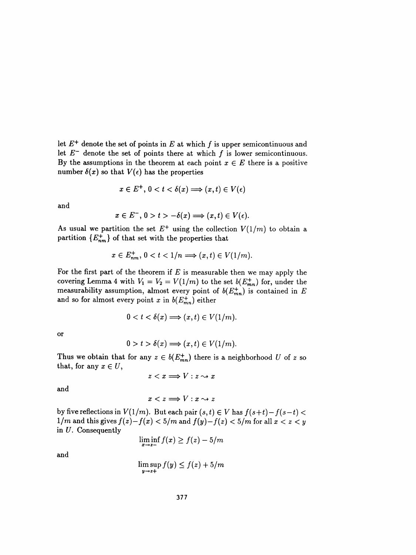let  $E^+$  denote the set of points in E at which f is upper semicontinuous and let  $E^-$  denote the set of points there at which f is lower semicontinuous. By the assumptions in the theorem at each point  $x \in E$  there is a positive number  $\delta(x)$  so that  $V(\epsilon)$  has the properties

$$
x \in E^+, \, 0 < t < \delta(x) \Longrightarrow (x, t) \in V(\epsilon)
$$

and

$$
x\in E^-,\,0>t>-\delta(x)\Longrightarrow (x,t)\in V(\epsilon).
$$

As usual we partition the set  $E^+$  using the collection  $V(1/m)$  to obtain a partition  ${E^+_{nm}}$  of that set with the properties that

$$
x \in E_{nm}^+, \ 0 < t < 1/n \Longrightarrow (x, t) \in V(1/m).
$$

For the first part of the theorem if  $E$  is measurable then we may apply the covering Lemma 4 with  $V_1 = V_2 = V(1/m)$  to the set  $\delta(E_{mn})$  for, under the measurability assumption, almost every point of  $\mathfrak{o}(E_{mn})$  is contained in Eq. and so for almost every point x in  $b(E_{mn}^+)$  either

$$
0 < t < \delta(x) \Longrightarrow (x, t) \in V(1/m).
$$

or

$$
0 > t > \delta(x) \Longrightarrow (x, t) \in V(1/m).
$$

Thus we obtain that for any  $z \in b(E_{mn}^+)$  there is a neighborhood U of z so that, for any  $x \in U$ ,

$$
z < x \Longrightarrow V : z \leadsto x
$$

and

 $x < z \Longrightarrow V : x \rightsquigarrow z$ 

by five reflections in  $V(1/m)$ . But each pair  $(s, t) \in V$  has  $f(s+t) - f(s-t) <$  $1/m$  and this gives  $f(z)-f(x) < 5/m$  and  $f(y)-f(z) < 5/m$  for all  $x < z < y$ in U. Consequently

$$
\liminf_{x \to z-} f(x) \ge f(z) - 5/m
$$

and

$$
\limsup_{y \to z+} f(y) \le f(z) + 5/m
$$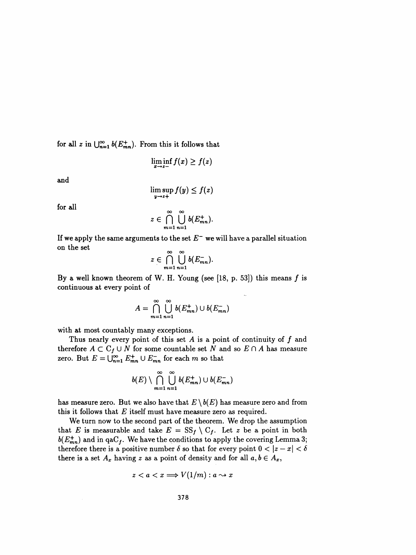for all z in  $\bigcup_{n=1}^{\infty} b(E_{mn}^+)$ . From this it follows that

$$
\liminf_{x\to z-} f(x) \ge f(z)
$$

and

$$
\limsup_{y\to z+} f(y) \leq f(z)
$$

for all

$$
z\in \bigcap_{m=1}^{\infty}\bigcup_{n=1}^{\infty}b(E_{mn}^+).
$$

If we apply the same arguments to the set  $E^-$  we will have a parallel situation on the set

$$
z\in \bigcap_{m=1}^{\infty}\bigcup_{n=1}^{\infty}b(E_{mn}^{-}).
$$

By a well known theorem of W. H. Young (see [18, p. 53]) this means  $f$  is continuous at every point of

$$
A = \bigcap_{m=1}^{\infty} \bigcup_{n=1}^{\infty} b(E_{mn}^+) \cup b(E_{mn}^-)
$$

with at most countably many exceptions.

Thus nearly every point of this set  $A$  is a point of continuity of  $f$  and therefore  $A \subset C_f \cup N$  for some countable set N and so  $E \cap A$  has measure zero. But  $E = \bigcup_{n=1}^{\infty} E^+_{mn} \cup E^-_{mn}$  for each m so that

$$
b(E) \setminus \bigcap_{m=1}^{\infty} \bigcup_{n=1}^{\infty} b(E_{mn}^+) \cup b(E_{mn}^-)
$$

has measure zero. But we also have that  $E \setminus b(E)$  has measure zero and from this it follows that  $E$  itself must have measure zero as required.

 We turn now to the second part of the theorem. We drop the assumption that E is measurable and take  $E = SS_f \setminus C_f$ . Let z be a point in both  $b(E_{mn}^+)$  and in qaC<sub>f</sub>. We have the conditions to apply the covering Lemma 3; therefore there is a positive number  $\delta$  so that for every point  $0 < |z - x| < \delta$ there is a set  $A_x$  having z as a point of density and for all  $a, b \in A_x$ ,

$$
z < a < x \Longrightarrow V(1/m) : a \leadsto x
$$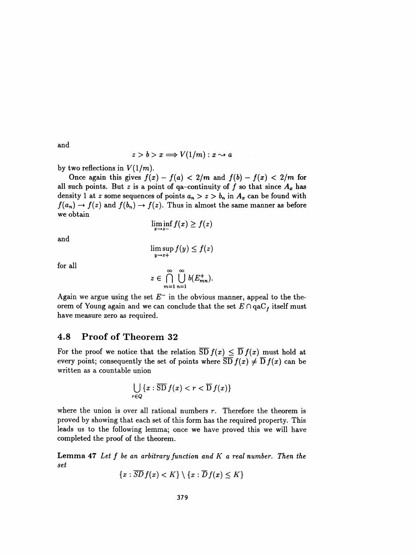and

$$
z > b > x \Longrightarrow V(1/m) : x \rightsquigarrow a
$$

by two reflections in  $V(1/m)$ .

Once again this gives  $f(x) - f(a) < 2/m$  and  $f(b) - f(x) < 2/m$  for all such points. But z is a point of qa-continuity of f so that since  $A_x$  has density 1 at z some sequences of points  $a_n > z > b_n$  in  $A_x$  can be found with  $f(a_n) \to f(z)$  and  $f(b_n) \to f(z)$ . Thus in almost the same manner as before we obtain

$$
\liminf_{x\to z-} f(x) \ge f(z)
$$

and

$$
\limsup_{y\to z+} f(y) \le f(z)
$$

for all

$$
z\in \bigcap_{m=1}^{\infty}\bigcup_{n=1}^{\infty}b(E_{mn}^{+}).
$$

Again we argue using the set  $E^-$  in the obvious manner, appeal to the theorem of Young again and we can conclude that the set  $E \cap qaC_f$  itself must<br>have measure gave as required have measure zero as required.

### 4.8 Proof of Theorem 32

For the proof we notice that the relation  $\overline{SD} f(x) \leq \overline{D} f(x)$  must hold at every point; consequently the set of points where  $\overline{SD} f(x) \neq \overline{D} f(x)$  can be written as a countable union

$$
\bigcup_{r\in Q} \{x:\overline{\mathrm{SD}}\,f(x)< r<\overline{\mathrm{D}}\,f(x)\}
$$

where the union is over all rational numbers  $r$ . Therefore the theorem is proved by showing that each set of this form has the required property. This leads us to the following lemma; once we have proved this we will have completed the proof of the theorem.

**Lemma 47** Let  $f$  be an arbitrary function and  $K$  a real number. Then the set

$$
\{x:\overline{SD} f(x) < K\} \setminus \{x:\overline{D} f(x) \leq K\}
$$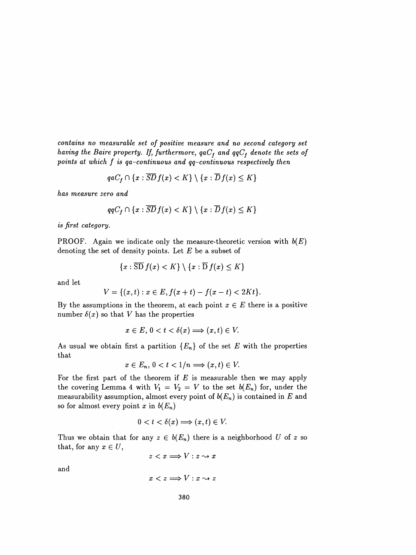contains no measurable set of positive measure and no second category set having the Baire property. If, furthermore,  $qaC_f$  and  $qqC_f$  denote the sets of points at which  $f$  is qa-continuous and qq-continuous respectively then

$$
qaC_f \cap \{x : \overline{SD} f(x) < K\} \setminus \{x : \overline{D} f(x) \le K\}
$$

has measure zero and

$$
qqC_f \cap \{x : \overline{SD}f(x) < K\} \setminus \{x : \overline{D}f(x) \leq K\}
$$

is first category.

PROOF. Again we indicate only the measure-theoretic version with  $b(E)$ denoting the set of density points. Let  $E$  be a subset of

$$
\{x:\overline{\mathrm{SD}}\,f(x)
$$

and let

$$
V = \{(x, t) : x \in E, f(x + t) - f(x - t) < 2Kt\}.
$$

By the assumptions in the theorem, at each point  $x \in E$  there is a positive number  $\delta(x)$  so that V has the properties

$$
x\in E,\,0
$$

As usual we obtain first a partition  ${E_n}$  of the set E with the properties that

$$
x\in E_n, \, 0
$$

For the first part of the theorem if  $E$  is measurable then we may apply the covering Lemma 4 with  $V_1 = V_2 = V$  to the set  $b(E_n)$  for, under the measurability assumption, almost every point of  $b(E_n)$  is contained in E and so for almost every point x in  $b(E_n)$ 

$$
0 < t < \delta(x) \Longrightarrow (x, t) \in V.
$$

Thus we obtain that for any  $z \in b(E_n)$  there is a neighborhood U of z so that, for any  $x \in U$ ,

$$
z < x \Longrightarrow V : z \leadsto x
$$

and

$$
x < z \Longrightarrow V : x \rightsquigarrow z
$$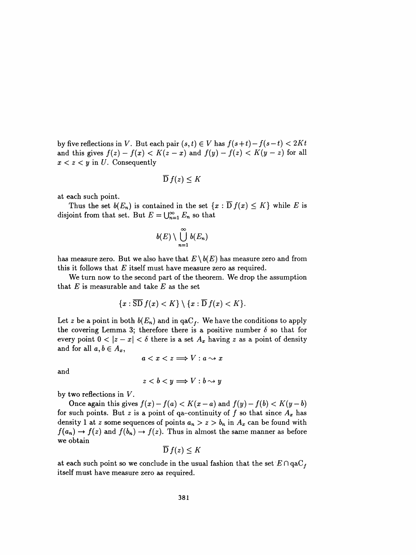by five reflections in V. But each pair  $(s, t) \in V$  has  $f(s + t) - f(s - t) < 2Kt$ and this gives  $f(z) - f(x) < K(z - x)$  and  $f(y) - f(z) < K(y - z)$  for all  $x < z < y$  in U. Consequently

$$
\overline{\mathrm{D}}\,f(z)\leq K
$$

at each such point.

Thus the set  $b(E_n)$  is contained in the set  $\{x : \overline{D} f(x) \leq K\}$  while E is disjoint from that set. But  $E = \bigcup_{n=1}^{\infty} E_n$  so that

$$
b(E)\setminus \bigcup_{n=1}^\infty b(E_n)
$$

has measure zero. But we also have that  $E \setminus b(E)$  has measure zero and from this it follows that  $E$  itself must have measure zero as required.

 We turn now to the second part of the theorem. We drop the assumption that  $E$  is measurable and take  $E$  as the set

$$
\{x:\overline{\mathrm{SD}}\,f(x)
$$

Let z be a point in both  $b(E_n)$  and in qaC<sub>f</sub>. We have the conditions to apply the covering Lemma 3; therefore there is a positive number  $\delta$  so that for every point  $0 < |z - x| < \delta$  there is a set  $A_x$  having z as a point of density and for all  $a, b \in A_x$ ,

$$
a < x < z \Longrightarrow V : a \leadsto x
$$

and

$$
z
$$

by two reflections in V.

Once again this gives  $f(x) - f(a) < K(x - a)$  and  $f(y) - f(b) < K(y - b)$ for such points. But z is a point of qa-continuity of f so that since  $A_x$  has density 1 at z some sequences of points  $a_n > z > b_n$  in  $A_x$  can be found with  $f(a_n) \to f(z)$  and  $f(b_n) \to f(z)$ . Thus in almost the same manner as before we obtain

$$
D f(z) \leq K
$$

at each such point so we conclude in the usual fashion that the set  $E \cap \text{qaC}_f$ itself must have measure zero as required.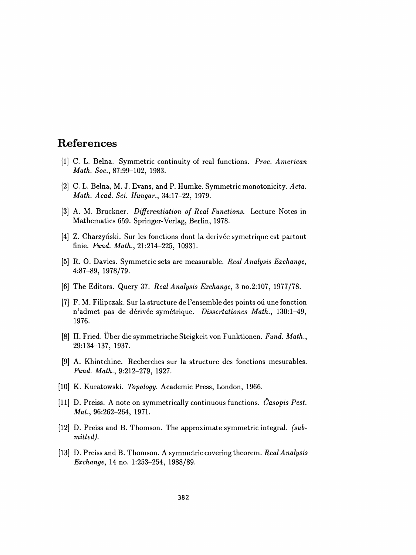# References

- [1] C. L. Belna. Symmetric continuity of real functions. Proc. American Math. Soc., 87:99-102, 1983.
- [2] C. L. Belna, M. J. Evans, and P. Humke. Symmetric monotonicity. Acta. Math. Acad. Sci. Hungar., 34:17-22, 1979.
- [3] A. M. Bruckner. Differentiation of Real Functions. Lecture Notes in Mathematics 659. Springer- Verlag, Berlin, 1978.
- [4] Z. Charzyński. Sur les fonctions dont la derivée symetrique est partout finie. Fund. Math., 21:214-225, 10931.
- [51 R. O. Davies. Symmetric sets are measurable. Real Analysis Exchange, 4:87-89, 1978/79.
- [6] The Editors. Query 37. Real Analysis Exchange, 3 no. 2:107, 1977/78.
- [7] F. M. Filipczak. Sur la structure de l'ensemble des points où une fonction n'admet pas de dérivée symétrique. Dissertationes Math., 130:1-49, 1976.
- [8] H. Fried. Über die symmetrische Steigkeit von Funktionen. Fund. Math., 29:134-137, 1937.
- [9] A. Khintchine. Recherches sur la structure des fonctions mesurables. Fund. Math., 9:212-279, 1927.
- [10] K. Kuratowski. Topology. Academic Press, London, 1966.
- [11] D. Preiss. A note on symmetrically continuous functions. Časopis Pest. Mat., 96:262-264, 1971.
- [12] D. Preiss and B. Thomson. The approximate symmetric integral, (sub mitted).
- [13] D. Preiss and B. Thomson. A symmetric covering theorem. Real Analysis Exchange, 14 no. 1:253-254, 1988/89.